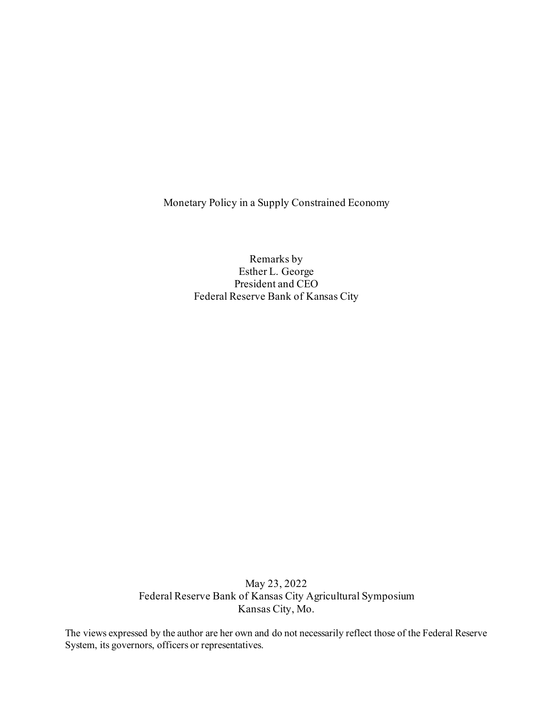Monetary Policy in a Supply Constrained Economy

Remarks by Esther L. George President and CEO Federal Reserve Bank of Kansas City

May 23, 2022 Federal Reserve Bank of Kansas City Agricultural Symposium Kansas City, Mo.

The views expressed by the author are her own and do not necessarily reflect those of the Federal Reserve System, its governors, officers or representatives.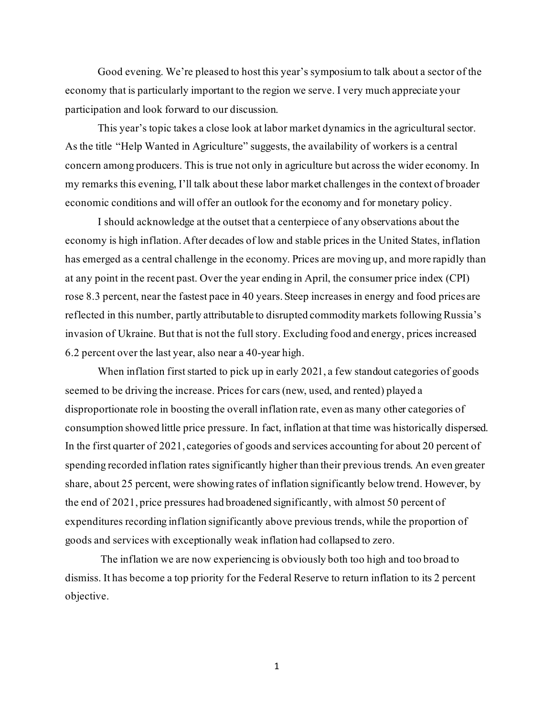Good evening. We're pleased to host this year's symposium to talk about a sector of the economy that is particularly important to the region we serve. I very much appreciate your participation and look forward to our discussion.

This year's topic takes a close look at labor market dynamics in the agricultural sector. As the title "Help Wanted in Agriculture" suggests, the availability of workers is a central concern among producers. This is true not only in agriculture but across the wider economy. In my remarks this evening, I'll talk about these labor market challenges in the context of broader economic conditions and will offer an outlook for the economy and for monetary policy.

I should acknowledge at the outset that a centerpiece of any observations about the economy is high inflation. After decades of low and stable prices in the United States, inflation has emerged as a central challenge in the economy. Prices are moving up, and more rapidly than at any point in the recent past. Over the year ending in April, the consumer price index (CPI) rose 8.3 percent, near the fastest pace in 40 years. Steep increases in energy and food prices are reflected in this number, partly attributable to disrupted commodity markets following Russia's invasion of Ukraine. But that is not the full story. Excluding food and energy, prices increased 6.2 percent over the last year, also near a 40-year high.

When inflation first started to pick up in early 2021, a few standout categories of goods seemed to be driving the increase. Prices for cars (new, used, and rented) played a disproportionate role in boosting the overall inflation rate, even as many other categories of consumption showed little price pressure. In fact, inflation at that time was historically dispersed. In the first quarter of 2021, categories of goods and services accounting for about 20 percent of spending recorded inflation rates significantly higher than their previous trends. An even greater share, about 25 percent, were showing rates of inflation significantly below trend. However, by the end of 2021, price pressures had broadened significantly, with almost 50 percent of expenditures recording inflation significantly above previous trends, while the proportion of goods and services with exceptionally weak inflation had collapsed to zero.

The inflation we are now experiencing is obviously both too high and too broad to dismiss. It has become a top priority for the Federal Reserve to return inflation to its 2 percent objective.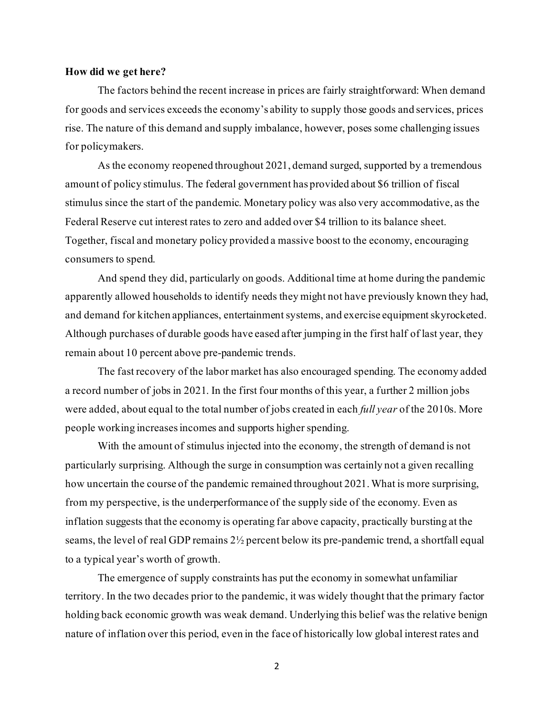## **How did we get here?**

The factors behind the recent increase in prices are fairly straightforward: When demand for goods and services exceeds the economy's ability to supply those goods and services, prices rise. The nature of this demand and supply imbalance, however, poses some challenging issues for policymakers.

As the economy reopened throughout 2021, demand surged, supported by a tremendous amount of policy stimulus. The federal government has provided about \$6 trillion of fiscal stimulus since the start of the pandemic. Monetary policy was also very accommodative, as the Federal Reserve cut interest rates to zero and added over \$4 trillion to its balance sheet. Together, fiscal and monetary policy provided a massive boost to the economy, encouraging consumers to spend.

And spend they did, particularly on goods. Additional time at home during the pandemic apparently allowed households to identify needs they might not have previously known they had, and demand for kitchen appliances, entertainment systems, and exercise equipment skyrocketed. Although purchases of durable goods have eased after jumping in the first half of last year, they remain about 10 percent above pre-pandemic trends.

The fast recovery of the labor market has also encouraged spending. The economy added a record number of jobs in 2021. In the first four months of this year, a further 2 million jobs were added, about equal to the total number of jobs created in each *full year* of the 2010s. More people working increases incomes and supports higher spending.

With the amount of stimulus injected into the economy, the strength of demand is not particularly surprising. Although the surge in consumption was certainly not a given recalling how uncertain the course of the pandemic remained throughout 2021.What is more surprising, from my perspective, is the underperformance of the supply side of the economy. Even as inflation suggests that the economy is operating far above capacity, practically bursting at the seams, the level of real GDP remains 2½ percent below its pre-pandemic trend, a shortfall equal to a typical year's worth of growth.

The emergence of supply constraints has put the economy in somewhat unfamiliar territory. In the two decades prior to the pandemic, it was widely thought that the primary factor holding back economic growth was weak demand. Underlying this belief was the relative benign nature of inflation over this period, even in the face of historically low global interest rates and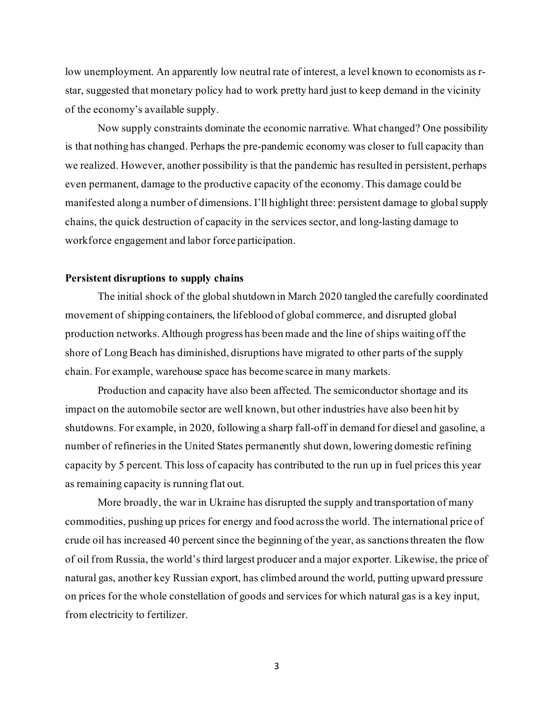low unemployment. An apparently low neutral rate of interest, a level known to economists as rstar, suggested that monetary policy had to work pretty hard just to keep demand in the vicinity of the economy's available supply.

Now supply constraints dominate the economic narrative. What changed? One possibility is that nothing has changed. Perhaps the pre-pandemic economy was closer to full capacity than we realized. However, another possibility is that the pandemic has resulted in persistent, perhaps even permanent, damage to the productive capacity of the economy.This damage could be manifested along a number of dimensions. I'll highlight three: persistent damage to global supply chains, the quick destruction of capacity in the services sector, and long-lasting damage to workforce engagement and labor force participation.

# **Persistent disruptions to supply chains**

The initial shock of the global shutdown in March 2020 tangled the carefully coordinated movement of shipping containers, the lifeblood of global commerce, and disrupted global production networks. Although progress has been made and the line of ships waiting off the shore of Long Beach has diminished, disruptions have migrated to other parts of the supply chain. For example, warehouse space has become scarce in many markets.

Production and capacity have also been affected. The semiconductor shortage and its impact on the automobile sector are well known, but other industries have also been hit by shutdowns. For example, in 2020, following a sharp fall-off in demand for diesel and gasoline, a number of refineries in the United States permanently shut down, lowering domestic refining capacity by 5 percent. This loss of capacity has contributed to the run up in fuel prices this year as remaining capacity is running flat out.

More broadly, the war in Ukraine has disrupted the supply and transportation of many commodities, pushing up prices for energy and food across the world. The international price of crude oil has increased 40 percent since the beginning of the year, as sanctions threaten the flow of oil from Russia, the world's third largest producer and a major exporter. Likewise, the price of natural gas, another key Russian export, has climbed around the world, putting upward pressure on prices for the whole constellation of goods and services for which natural gas is a key input, from electricity to fertilizer.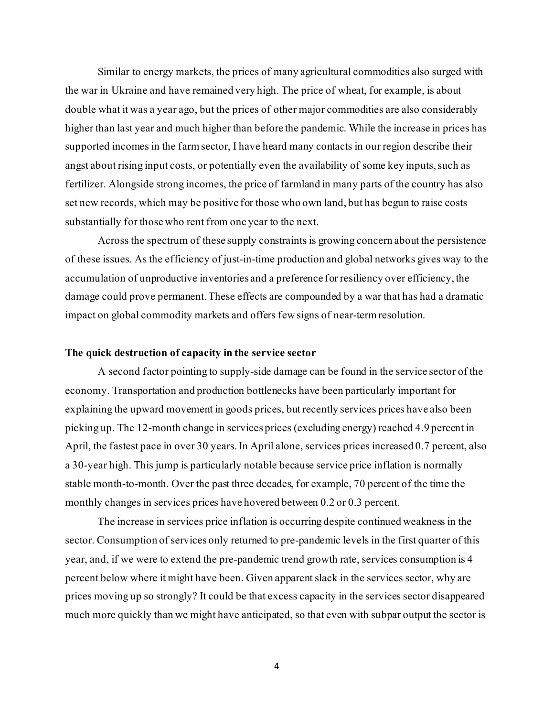Similar to energy markets, the prices of many agricultural commodities also surged with the war in Ukraine and have remained very high. The price of wheat, for example, is about double what it was a year ago, but the prices of other major commodities are also considerably higher than last year and much higher than before the pandemic. While the increase in prices has supported incomes in the farm sector, I have heard many contacts in our region describe their angst about rising input costs, or potentially even the availability of some key inputs, such as fertilizer. Alongside strong incomes, the price of farmland in many parts of the country has also set new records, which may be positive for those who own land, but has begun to raise costs substantially for those who rent from one year to the next.

Across the spectrum of these supply constraints is growing concern about the persistence of these issues. As the efficiency of just-in-time production and global networks gives way to the accumulation of unproductive inventories and a preference for resiliency over efficiency, the damage could prove permanent. These effects are compounded by a war that has had a dramatic impact on global commodity markets and offers few signs of near-termresolution.

# **The quick destruction of capacity in the service sector**

A second factor pointing to supply-side damage can be found in the service sector of the economy. Transportation and production bottlenecks have been particularly important for explaining the upward movement in goods prices, but recently services prices have also been picking up. The 12-month change in services prices (excluding energy) reached 4.9 percent in April, the fastest pace in over 30 years.In April alone, services prices increased 0.7 percent, also a 30-year high. This jump is particularly notable because service price inflation is normally stable month-to-month. Over the past three decades, for example, 70 percent of the time the monthly changes in services prices have hovered between 0.2 or 0.3 percent.

The increase in services price inflation is occurring despite continued weakness in the sector. Consumption of services only returned to pre-pandemic levels in the first quarter of this year, and, if we were to extend the pre-pandemic trend growth rate, services consumption is 4 percent below where it might have been. Given apparent slack in the services sector, why are prices moving up so strongly? It could be that excess capacity in the services sector disappeared much more quickly than we might have anticipated, so that even with subpar output the sector is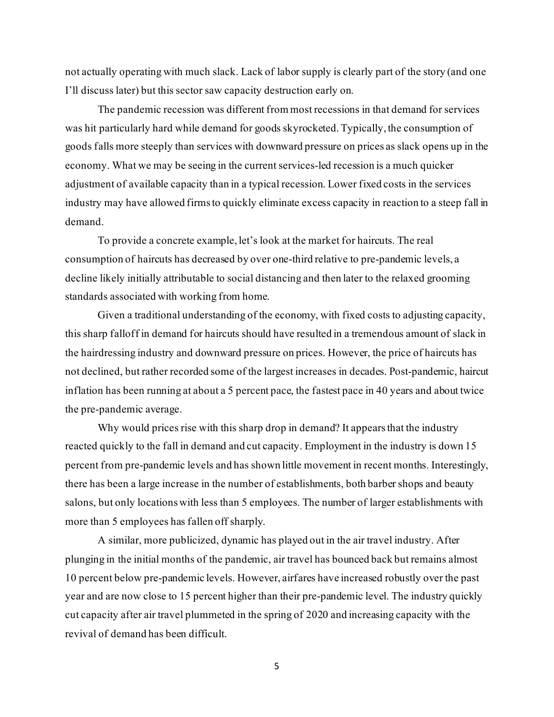not actually operating with much slack. Lack of labor supply is clearly part of the story (and one I'll discuss later) but this sector saw capacity destruction early on.

The pandemic recession was different from most recessions in that demand for services was hit particularly hard while demand for goods skyrocketed.Typically, the consumption of goods falls more steeply than services with downward pressure on prices as slack opens up in the economy. What we may be seeing in the current services-led recession is a much quicker adjustment of available capacity than in a typical recession. Lower fixed costs in the services industry may have allowed firms to quickly eliminate excess capacity in reaction to a steep fall in demand.

To provide a concrete example, let's look at the market for haircuts. The real consumption of haircuts has decreased by over one-third relative to pre-pandemic levels, a decline likely initially attributable to social distancing and then later to the relaxed grooming standards associated with working from home.

Given a traditional understanding of the economy, with fixed costs to adjusting capacity, this sharp falloff in demand for haircuts should have resulted in a tremendous amount of slack in the hairdressing industry and downward pressure on prices. However, the price of haircuts has not declined, but rather recorded some of the largest increases in decades. Post-pandemic, haircut inflation has been running at about a 5 percent pace, the fastest pace in 40 years and about twice the pre-pandemic average.

Why would prices rise with this sharp drop in demand? It appears that the industry reacted quickly to the fall in demand and cut capacity. Employment in the industry is down 15 percent from pre-pandemic levels and has shown little movement in recent months. Interestingly, there has been a large increase in the number of establishments, both barber shops and beauty salons, but only locations with less than 5 employees. The number of larger establishments with more than 5 employees has fallen off sharply.

A similar, more publicized, dynamic has played out in the air travel industry. After plunging in the initial months of the pandemic, air travel has bounced back but remains almost 10 percent below pre-pandemic levels. However, airfares have increased robustly over the past year and are now close to 15 percent higher than their pre-pandemic level. The industry quickly cut capacity after air travel plummeted in the spring of 2020 and increasing capacity with the revival of demand has been difficult.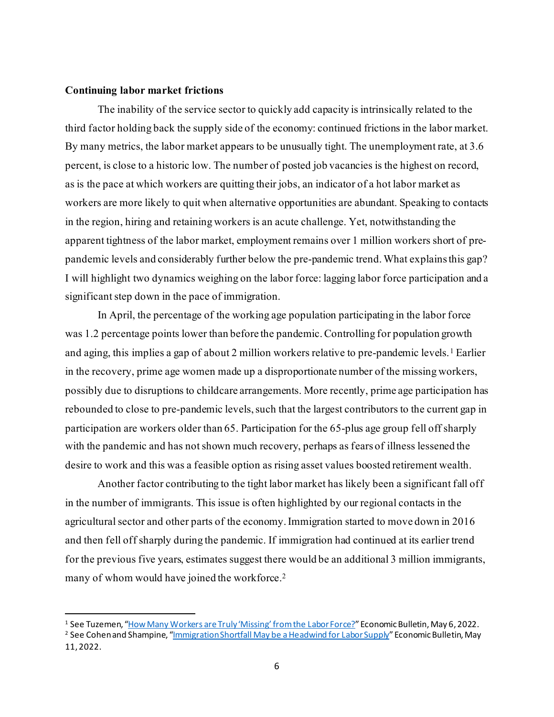### **Continuing labor market frictions**

The inability of the service sector to quickly add capacity is intrinsically related to the third factor holding back the supply side of the economy: continued frictions in the labor market. By many metrics, the labor market appears to be unusually tight. The unemployment rate, at 3.6 percent, is close to a historic low. The number of posted job vacancies is the highest on record, as is the pace at which workers are quitting their jobs, an indicator of a hot labor market as workers are more likely to quit when alternative opportunities are abundant. Speaking to contacts in the region, hiring and retaining workers is an acute challenge. Yet, notwithstanding the apparent tightness of the labor market, employment remains over 1 million workers short of prepandemic levels and considerably further below the pre-pandemic trend.What explains this gap? I will highlight two dynamics weighing on the labor force: lagging labor force participation and a significant step down in the pace of immigration.

In April, the percentage of the working age population participating in the labor force was 1.2 percentage points lower than before the pandemic.Controlling for population growth and aging, this implies a gap of about 2 million workers relative to pre-pandemic levels.<sup>[1](#page-6-0)</sup> Earlier in the recovery, prime age women made up a disproportionate number of the missing workers, possibly due to disruptions to childcare arrangements. More recently, prime age participation has rebounded to close to pre-pandemic levels, such that the largest contributors to the current gap in participation are workers older than 65. Participation for the 65-plus age group fell off sharply with the pandemic and has not shown much recovery, perhaps as fears of illness lessened the desire to work and this was a feasible option as rising asset values boosted retirement wealth.

Another factor contributing to the tight labor market has likely been a significant fall off in the number of immigrants. This issue is often highlighted by our regional contacts in the agricultural sector and other parts of the economy. Immigration started to move down in 2016 and then fell off sharply during the pandemic. If immigration had continued at its earlier trend for the previous five years, estimates suggest there would be an additional 3 million immigrants, many of whom would have joined the workforce.<sup>[2](#page-6-1)</sup>

<span id="page-6-0"></span><sup>1</sup> See Tuzemen, ["How Many Workers are Truly 'Missing' from the Labor Force?"](https://www.kansascityfed.org/research/economic-bulletin/how-many-workers-are-truly-missing-from-the-labor-force/)Economic Bulletin, May 6, 2022.

<span id="page-6-1"></span><sup>&</sup>lt;sup>2</sup> See Cohen and Shampine, "*Immigration Shortfall May be a Headwind for Labor Supply*" Economic Bulletin, May 11, 2022.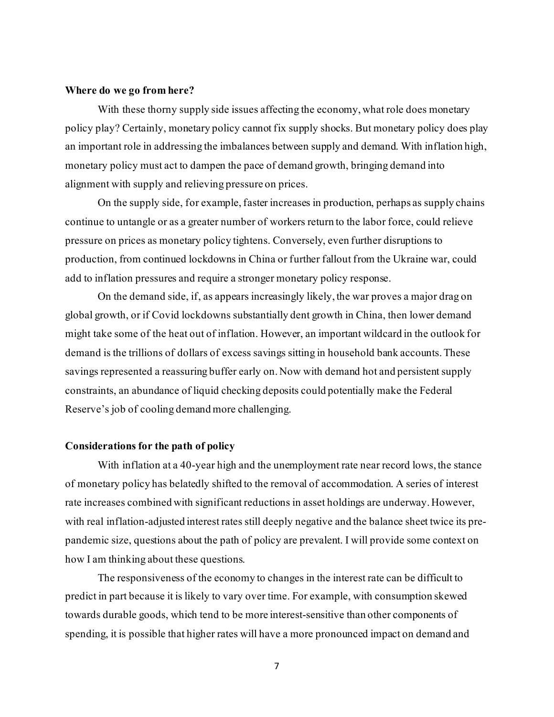#### **Where do we go from here?**

With these thorny supply side issues affecting the economy, what role does monetary policy play? Certainly, monetary policy cannot fix supply shocks. But monetary policy does play an important role in addressing the imbalances between supply and demand. With inflation high, monetary policy must act to dampen the pace of demand growth, bringing demand into alignment with supply and relieving pressure on prices.

On the supply side, for example, faster increases in production, perhaps as supply chains continue to untangle or as a greater number of workers return to the labor force, could relieve pressure on prices as monetary policy tightens. Conversely, even further disruptions to production, from continued lockdowns in China or further fallout from the Ukraine war, could add to inflation pressures and require a stronger monetary policy response.

On the demand side, if, as appears increasingly likely, the war proves a major drag on global growth, or if Covid lockdowns substantially dent growth in China, then lower demand might take some of the heat out of inflation. However, an important wildcard in the outlook for demand is the trillions of dollars of excess savings sitting in household bank accounts.These savings represented a reassuring buffer early on. Now with demand hot and persistent supply constraints, an abundance of liquid checking deposits could potentially make the Federal Reserve's job of cooling demand more challenging.

## **Considerations for the path of policy**

With inflation at a 40-year high and the unemployment rate near record lows, the stance of monetary policy has belatedly shifted to the removal of accommodation. A series of interest rate increases combined with significant reductions in asset holdings are underway. However, with real inflation-adjusted interest rates still deeply negative and the balance sheet twice its prepandemic size, questions about the path of policy are prevalent. I will provide some context on how I am thinking about these questions.

The responsiveness of the economy to changes in the interest rate can be difficult to predict in part because it is likely to vary over time. For example, with consumption skewed towards durable goods, which tend to be more interest-sensitive than other components of spending, it is possible that higher rates will have a more pronounced impact on demand and